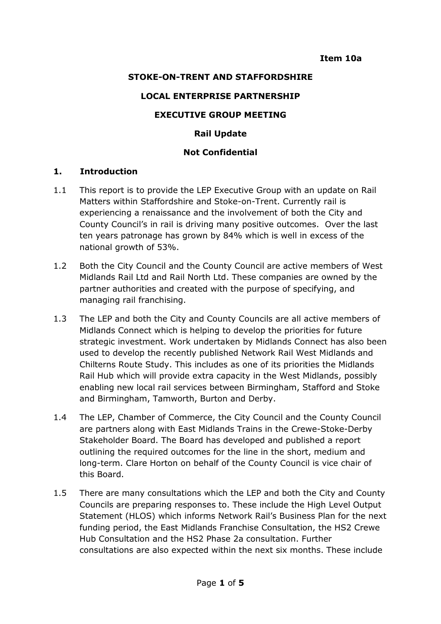## **STOKE-ON-TRENT AND STAFFORDSHIRE**

#### **LOCAL ENTERPRISE PARTNERSHIP**

### **EXECUTIVE GROUP MEETING**

### **Rail Update**

### **Not Confidential**

#### **1. Introduction**

- 1.1 This report is to provide the LEP Executive Group with an update on Rail Matters within Staffordshire and Stoke-on-Trent. Currently rail is experiencing a renaissance and the involvement of both the City and County Council's in rail is driving many positive outcomes. Over the last ten years patronage has grown by 84% which is well in excess of the national growth of 53%.
- 1.2 Both the City Council and the County Council are active members of West Midlands Rail Ltd and Rail North Ltd. These companies are owned by the partner authorities and created with the purpose of specifying, and managing rail franchising.
- 1.3 The LEP and both the City and County Councils are all active members of Midlands Connect which is helping to develop the priorities for future strategic investment. Work undertaken by Midlands Connect has also been used to develop the recently published Network Rail West Midlands and Chilterns Route Study. This includes as one of its priorities the Midlands Rail Hub which will provide extra capacity in the West Midlands, possibly enabling new local rail services between Birmingham, Stafford and Stoke and Birmingham, Tamworth, Burton and Derby.
- 1.4 The LEP, Chamber of Commerce, the City Council and the County Council are partners along with East Midlands Trains in the Crewe-Stoke-Derby Stakeholder Board. The Board has developed and published a report outlining the required outcomes for the line in the short, medium and long-term. Clare Horton on behalf of the County Council is vice chair of this Board.
- 1.5 There are many consultations which the LEP and both the City and County Councils are preparing responses to. These include the High Level Output Statement (HLOS) which informs Network Rail's Business Plan for the next funding period, the East Midlands Franchise Consultation, the HS2 Crewe Hub Consultation and the HS2 Phase 2a consultation. Further consultations are also expected within the next six months. These include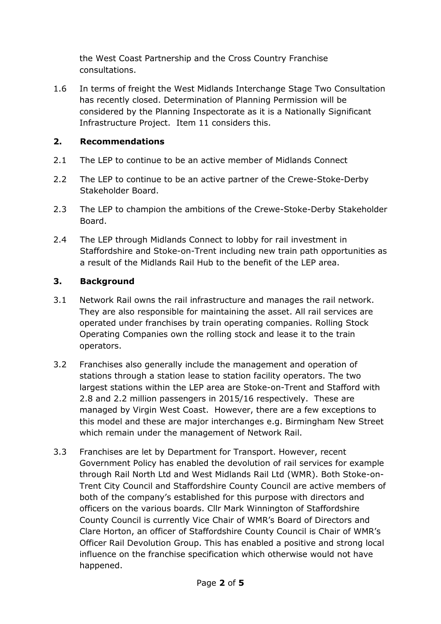the West Coast Partnership and the Cross Country Franchise consultations.

1.6 In terms of freight the West Midlands Interchange Stage Two Consultation has recently closed. Determination of Planning Permission will be considered by the Planning Inspectorate as it is a Nationally Significant Infrastructure Project. Item 11 considers this.

## **2. Recommendations**

- 2.1 The LEP to continue to be an active member of Midlands Connect
- 2.2 The LEP to continue to be an active partner of the Crewe-Stoke-Derby Stakeholder Board.
- 2.3 The LEP to champion the ambitions of the Crewe-Stoke-Derby Stakeholder Board.
- 2.4 The LEP through Midlands Connect to lobby for rail investment in Staffordshire and Stoke-on-Trent including new train path opportunities as a result of the Midlands Rail Hub to the benefit of the LEP area.

## **3. Background**

- 3.1 Network Rail owns the rail infrastructure and manages the rail network. They are also responsible for maintaining the asset. All rail services are operated under franchises by train operating companies. Rolling Stock Operating Companies own the rolling stock and lease it to the train operators.
- 3.2 Franchises also generally include the management and operation of stations through a station lease to station facility operators. The two largest stations within the LEP area are Stoke-on-Trent and Stafford with 2.8 and 2.2 million passengers in 2015/16 respectively. These are managed by Virgin West Coast. However, there are a few exceptions to this model and these are major interchanges e.g. Birmingham New Street which remain under the management of Network Rail.
- 3.3 Franchises are let by Department for Transport. However, recent Government Policy has enabled the devolution of rail services for example through Rail North Ltd and West Midlands Rail Ltd (WMR). Both Stoke-on-Trent City Council and Staffordshire County Council are active members of both of the company's established for this purpose with directors and officers on the various boards. Cllr Mark Winnington of Staffordshire County Council is currently Vice Chair of WMR's Board of Directors and Clare Horton, an officer of Staffordshire County Council is Chair of WMR's Officer Rail Devolution Group. This has enabled a positive and strong local influence on the franchise specification which otherwise would not have happened.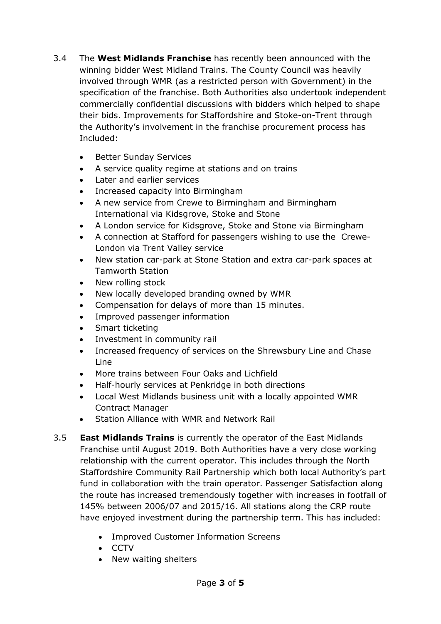- 3.4 The **West Midlands Franchise** has recently been announced with the winning bidder West Midland Trains. The County Council was heavily involved through WMR (as a restricted person with Government) in the specification of the franchise. Both Authorities also undertook independent commercially confidential discussions with bidders which helped to shape their bids. Improvements for Staffordshire and Stoke-on-Trent through the Authority's involvement in the franchise procurement process has Included:
	- Better Sunday Services
	- A service quality regime at stations and on trains
	- Later and earlier services
	- Increased capacity into Birmingham
	- A new service from Crewe to Birmingham and Birmingham International via Kidsgrove, Stoke and Stone
	- A London service for Kidsgrove, Stoke and Stone via Birmingham
	- A connection at Stafford for passengers wishing to use the Crewe-London via Trent Valley service
	- New station car-park at Stone Station and extra car-park spaces at Tamworth Station
	- New rolling stock
	- New locally developed branding owned by WMR
	- Compensation for delays of more than 15 minutes.
	- Improved passenger information
	- Smart ticketing
	- Investment in community rail
	- Increased frequency of services on the Shrewsbury Line and Chase Line
	- More trains between Four Oaks and Lichfield
	- Half-hourly services at Penkridge in both directions
	- Local West Midlands business unit with a locally appointed WMR Contract Manager
	- Station Alliance with WMR and Network Rail
- 3.5 **East Midlands Trains** is currently the operator of the East Midlands Franchise until August 2019. Both Authorities have a very close working relationship with the current operator. This includes through the North Staffordshire Community Rail Partnership which both local Authority's part fund in collaboration with the train operator. Passenger Satisfaction along the route has increased tremendously together with increases in footfall of 145% between 2006/07 and 2015/16. All stations along the CRP route have enjoyed investment during the partnership term. This has included:
	- Improved Customer Information Screens
	- $\bullet$  CCTV
	- New waiting shelters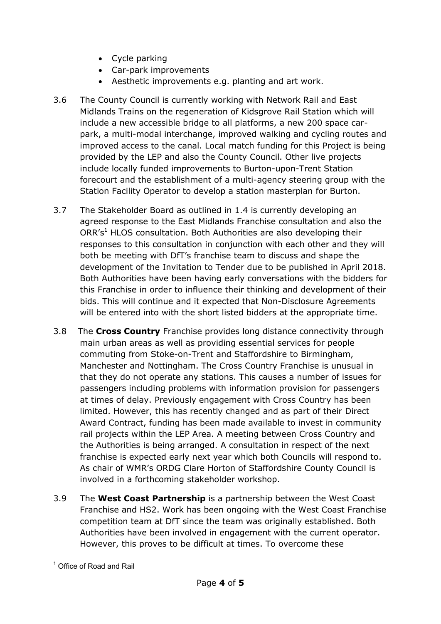- Cycle parking
- Car-park improvements
- Aesthetic improvements e.g. planting and art work.
- 3.6 The County Council is currently working with Network Rail and East Midlands Trains on the regeneration of Kidsgrove Rail Station which will include a new accessible bridge to all platforms, a new 200 space carpark, a multi-modal interchange, improved walking and cycling routes and improved access to the canal. Local match funding for this Project is being provided by the LEP and also the County Council. Other live projects include locally funded improvements to Burton-upon-Trent Station forecourt and the establishment of a multi-agency steering group with the Station Facility Operator to develop a station masterplan for Burton.
- 3.7 The Stakeholder Board as outlined in 1.4 is currently developing an agreed response to the East Midlands Franchise consultation and also the ORR's<sup>1</sup> HLOS consultation. Both Authorities are also developing their responses to this consultation in conjunction with each other and they will both be meeting with DfT's franchise team to discuss and shape the development of the Invitation to Tender due to be published in April 2018. Both Authorities have been having early conversations with the bidders for this Franchise in order to influence their thinking and development of their bids. This will continue and it expected that Non-Disclosure Agreements will be entered into with the short listed bidders at the appropriate time.
- 3.8 The **Cross Country** Franchise provides long distance connectivity through main urban areas as well as providing essential services for people commuting from Stoke-on-Trent and Staffordshire to Birmingham, Manchester and Nottingham. The Cross Country Franchise is unusual in that they do not operate any stations. This causes a number of issues for passengers including problems with information provision for passengers at times of delay. Previously engagement with Cross Country has been limited. However, this has recently changed and as part of their Direct Award Contract, funding has been made available to invest in community rail projects within the LEP Area. A meeting between Cross Country and the Authorities is being arranged. A consultation in respect of the next franchise is expected early next year which both Councils will respond to. As chair of WMR's ORDG Clare Horton of Staffordshire County Council is involved in a forthcoming stakeholder workshop.
- 3.9 The **West Coast Partnership** is a partnership between the West Coast Franchise and HS2. Work has been ongoing with the West Coast Franchise competition team at DfT since the team was originally established. Both Authorities have been involved in engagement with the current operator. However, this proves to be difficult at times. To overcome these

<sup>1</sup> <sup>1</sup> Office of Road and Rail